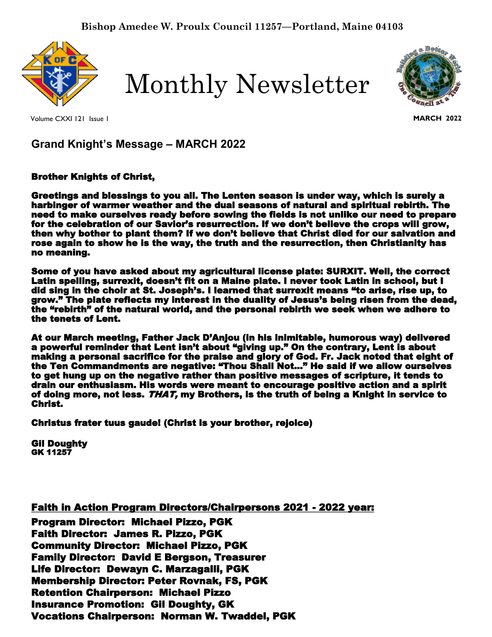

Monthly Newsletter



**MARCH 2022**

Volume CXXI 121 Issue 1

**Grand Knight's Message – MARCH 2022**

Brother Knights of Christ,

Greetings and blessings to you all. The Lenten season is under way, which is surely a harbinger of warmer weather and the dual seasons of natural and spiritual rebirth. The need to make ourselves ready before sowing the fields is not unlike our need to prepare for the celebration of our Savior's resurrection. If we don't believe the crops will grow, then why bother to plant them? If we don't believe that Christ died for our salvation and rose again to show he is the way, the truth and the resurrection, then Christianity has no meaning.

Some of you have asked about my agricultural license plate: SURXIT. Well, the correct Latin spelling, surrexit, doesn't fit on a Maine plate. I never took Latin in school, but I did sing in the choir at St. Joseph's. I learned that surrexit means "to arise, rise up, to grow." The plate reflects my interest in the duality of Jesus's being risen from the dead, the "rebirth" of the natural world, and the personal rebirth we seek when we adhere to the tenets of Lent.

At our March meeting, Father Jack D'Anjou (in his inimitable, humorous way) delivered a powerful reminder that Lent isn't about "giving up." On the contrary, Lent is about making a personal sacrifice for the praise and glory of God. Fr. Jack noted that eight of the Ten Commandments are negative: "Thou Shall Not…" He said if we allow ourselves to get hung up on the negative rather than positive messages of scripture, it tends to drain our enthusiasm. His words were meant to encourage positive action and a spirit of doing more, not less. THAT, my Brothers, is the truth of being a Knight in service to Christ.

u i<br>İ Christus frater tuus gaude! (Christ is your brother, rejoice)

Gil Doughty GK 11257

Faith in Action Program Directors/Chairpersons 2021 - 2022 year:

o n Program Director: Michael Pizzo, PGK s : Faith Director: James R. Pizzo, PGK Community Director: Michael Pizzo, PGK .<br>re r Family Director: David E Bergson, Treasurer Life Director: Dewayn C. Marzagalli, PGK c Membership Director: Peter Rovnak, FS, PGK Retention Chairperson: Michael Pizzo Insurance Promotion: Gil Doughty, GK Vocations Chairperson: Norman W. Twaddel, PGK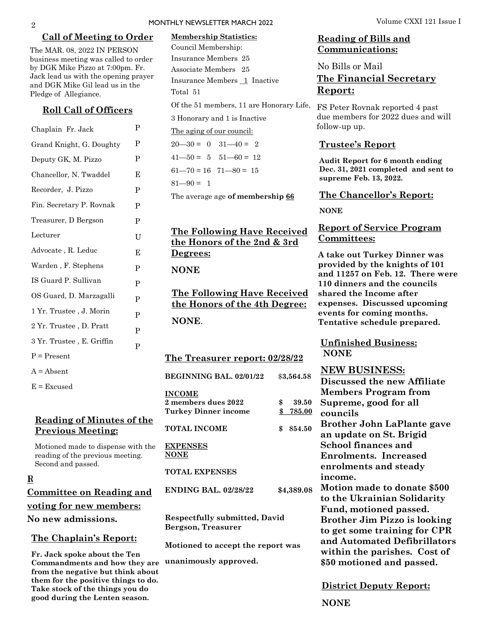#### **Call of Meeting to Order**

The MAR. 08, 2022 IN PERSON business meeting was called to order by DGK Mike Pizzo at 7:00pm. Fr. Jack lead us with the opening prayer and DGK Mike Gil lead us in the Pledge of Allegiance.

### **Roll Call of Officers**

| Chaplain Fr. Jack         | P |
|---------------------------|---|
| Grand Knight, G. Doughty  | P |
| Deputy GK, M. Pizzo       | P |
| Chancellor, N. Twaddel    | Е |
| Recorder, J. Pizzo        | P |
| Fin. Secretary P. Rovnak  | P |
| Treasurer, D Bergson      | P |
| Lecturer                  | U |
| Advocate, R. Leduc        | E |
| Warden, F. Stephens       | P |
| IS Guard P. Sullivan      | P |
| OS Guard, D. Marzagalli   | P |
| 1 Yr. Trustee , J. Morin  | P |
| 2 Yr. Trustee, D. Pratt   | P |
| 3 Yr. Trustee, E. Griffin | P |
| $P = Present$             |   |
| $A = Absent$              |   |

 $E = Excused$ 

## **Reading of Minutes of the Previous Meeting:**

Motioned made to dispense with the reading of the previous meeting. Second and passed.

## **Report of Admissions**

| <b>Committee on Reading and</b> |
|---------------------------------|
| voting for new members:         |
| No new admissions.              |

#### **The Chaplain's Report:**

**Fr. Jack spoke about the Ten Commandments and how they are from the negative but think about them for the positive things to do. Take stock of the things you do good during the Lenten season.**

## MONTHLY NEWSLETTER MARCH 2022 Volume CXXI 121 Issue I

## **Membership Statistics:**  Council Membership: Insurance Members 25 Associate Members 25 Insurance Members 1 Inactive Total 51

Of the 51 members, 11 are Honorary Life, FS Peter Rovnak reported 4 past 3 Honorary and 1 is Inactive

The aging of our council:

 $20 - 30 = 0$   $31 - 40 = 2$  $41 - 50 = 5$   $51 - 60 = 12$ 

 $61 - 70 = 16$   $71 - 80 = 15$ 

 $81 - 90 = 1$ 

The average age **of membership 66**

## **The Following Have Received the Honors of the 2nd & 3rd Degrees:**

**NONE** 

**The Following Have Received the Honors of the 4th Degree: NONE**.

**The Treasurer report: 02/28/22**

| BEGINNING BAL 02/01/22                                     |    | \$3,564.58    |  |  |
|------------------------------------------------------------|----|---------------|--|--|
| <b>INCOME</b>                                              |    |               |  |  |
| 2 members dues 2022                                        | \$ | 39.50         |  |  |
| <b>Turkey Dinner income</b>                                | \$ | <u>785.00</u> |  |  |
| TOTAL INCOME                                               | \$ | 854.50        |  |  |
| <b>EXPENSES</b><br><b>NONE</b>                             |    |               |  |  |
| <b>TOTAL EXPENSES</b>                                      |    |               |  |  |
| <b>ENDING BAL, 02/28/22</b>                                |    | \$4,389.08    |  |  |
| <b>Respectfully submitted, David</b><br>Bergson, Treasurer |    |               |  |  |
| Motioned to accept the report was                          |    |               |  |  |
| unanimously approved.                                      |    |               |  |  |

## **Reading of Bills and Communications:**

No Bills or Mail

## **The Financial Secretary Report:**

due members for 2022 dues and will follow-up up.

### **Trustee's Report**

**Audit Report for 6 month ending Dec. 31, 2021 completed and sent to supreme Feb. 13, 2022.**

#### **The Chancellor's Report:**

**NONE**

## **Report of Service Program Committees:**

**A take out Turkey Dinner was provided by the knights of 101 and 11257 on Feb. 12. There were 110 dinners and the councils shared the Income after expenses. Discussed upcoming events for coming months. Tentative schedule prepared.**

**Unfinished Business: NONE**

**NEW BUSINESS: Discussed the new Affiliate Members Program from Supreme, good for all councils Brother John LaPlante gave an update on St. Brigid School finances and Enrolments. Increased enrolments and steady income. Motion made to donate \$500 to the Ukrainian Solidarity Fund, motioned passed. Brother Jim Pizzo is looking to get some training for CPR and Automated Defibrillators within the parishes. Cost of** 

**District Deputy Report:**

**\$50 motioned and passed.** 

**NONE**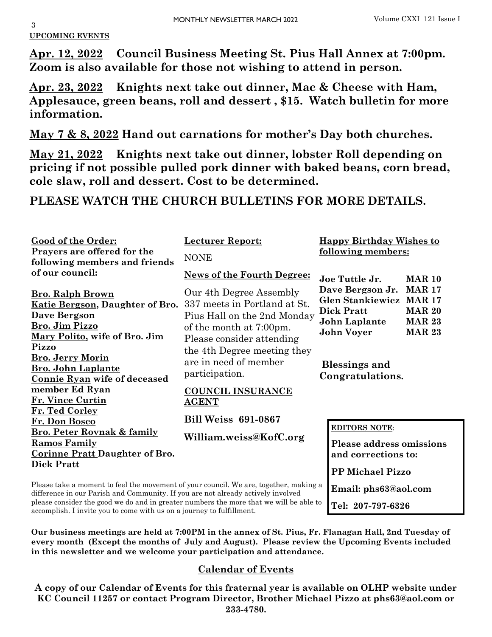# **UPCOMING EVENTS**

**Apr. 12, 2022 Council Business Meeting St. Pius Hall Annex at 7:00pm. Zoom is also available for those not wishing to attend in person.**

**Apr. 23, 2022 Knights next take out dinner, Mac & Cheese with Ham, Applesauce, green beans, roll and dessert , \$15. Watch bulletin for more information.**

**May 7 & 8, 2022 Hand out carnations for mother's Day both churches.**

**May 21, 2022 Knights next take out dinner, lobster Roll depending on pricing if not possible pulled pork dinner with baked beans, corn bread, cole slaw, roll and dessert. Cost to be determined.**

**PLEASE WATCH THE CHURCH BULLETINS FOR MORE DETAILS.**

| Good of the Order:<br>Prayers are offered for the<br>following members and friends                                                                                       | <b>Lecturer Report:</b><br><b>NONE</b>                                                                            |                                                                                                                                                                                   |  |
|--------------------------------------------------------------------------------------------------------------------------------------------------------------------------|-------------------------------------------------------------------------------------------------------------------|-----------------------------------------------------------------------------------------------------------------------------------------------------------------------------------|--|
| of our council:                                                                                                                                                          | <b>News of the Fourth Degree:</b>                                                                                 | Joe Tuttle Jr.<br><b>MAR 10</b>                                                                                                                                                   |  |
| <b>Bro. Ralph Brown</b><br>Katie Bergson, Daughter of Bro.<br><b>Dave Bergson</b><br>Bro. Jim Pizzo                                                                      | Our 4th Degree Assembly<br>337 meets in Portland at St.<br>Pius Hall on the 2nd Monday<br>of the month at 7:00pm. | <b>MAR 17</b><br>Dave Bergson Jr.<br><b>Glen Stankiewicz MAR 17</b><br><b>Dick Pratt</b><br><b>MAR 20</b><br>John Laplante<br><b>MAR 23</b><br><b>John Voyer</b><br><b>MAR 23</b> |  |
| Mary Polito, wife of Bro. Jim<br>Pizzo<br><b>Bro. Jerry Morin</b><br><b>Bro. John Laplante</b><br>Connie Ryan wife of deceased                                           | Please consider attending<br>the 4th Degree meeting they<br>are in need of member<br>participation.               | <b>Blessings and</b><br>Congratulations.                                                                                                                                          |  |
| member Ed Ryan<br>Fr. Vince Curtin                                                                                                                                       | <b>COUNCIL INSURANCE</b><br><b>AGENT</b>                                                                          |                                                                                                                                                                                   |  |
| Fr. Ted Corley<br>Fr. Don Bosco                                                                                                                                          | <b>Bill Weiss 691-0867</b>                                                                                        |                                                                                                                                                                                   |  |
| <b>Bro. Peter Rovnak &amp; family</b><br><b>Ramos Family</b><br><b>Corinne Pratt Daughter of Bro.</b><br><b>Dick Pratt</b>                                               | William.weiss@KofC.org                                                                                            | <b>EDITORS NOTE:</b><br>Please address omissions<br>and corrections to:                                                                                                           |  |
|                                                                                                                                                                          |                                                                                                                   | <b>PP Michael Pizzo</b>                                                                                                                                                           |  |
| Please take a moment to feel the movement of your council. We are, together, making a<br>difference in our Dorigh and Community If you are not closedy optively involved |                                                                                                                   | Email: phs63@aol.com                                                                                                                                                              |  |

difference in our Parish and Community. If you are not already actively involved please consider the good we do and in greater numbers the more that we will be able to accomplish. I invite you to come with us on a journey to fulfillment.

**Our business meetings are held at 7:00PM in the annex of St. Pius, Fr. Flanagan Hall, 2nd Tuesday of every month (Except the months of July and August). Please review the Upcoming Events included in this newsletter and we welcome your participation and attendance.** 

**Tel: 207-797-6326**

# **Calendar of Events**

**A copy of our Calendar of Events for this fraternal year is available on OLHP website under KC Council 11257 or contact Program Director, Brother Michael Pizzo at phs63@aol.com or 233-4780.**

3